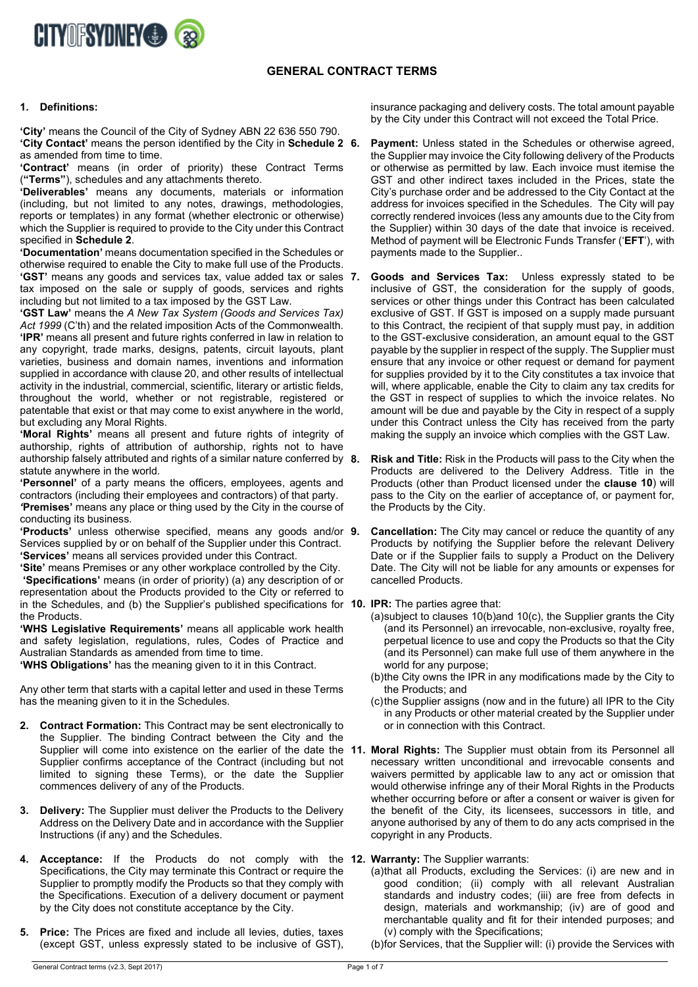

# **GENERAL CONTRACT TERMS**

#### **1. Definitions:**

**'City'** means the Council of the City of Sydney ABN 22 636 550 790. **'City Contact'** means the person identified by the City in **Schedule 2**  as amended from time to time.

**'Contract'** means (in order of priority) these Contract Terms (**"Terms"**), schedules and any attachments thereto.

**'Deliverables'** means any documents, materials or information (including, but not limited to any notes, drawings, methodologies, reports or templates) in any format (whether electronic or otherwise) which the Supplier is required to provide to the City under this Contract specified in **Schedule 2**.

**'Documentation'** means documentation specified in the Schedules or otherwise required to enable the City to make full use of the Products. **'GST'** means any goods and services tax, value added tax or sales tax imposed on the sale or supply of goods, services and rights including but not limited to a tax imposed by the GST Law.

**'GST Law'** means the *A New Tax System (Goods and Services Tax)*  Act 1999 (C'th) and the related imposition Acts of the Commonwealth. **'IPR'** means all present and future rights conferred in law in relation to any copyright, trade marks, designs, patents, circuit layouts, plant varieties, business and domain names, inventions and information supplied in accordance with claus[e 20,](#page-2-0) and other results of intellectual activity in the industrial, commercial, scientific, literary or artistic fields, throughout the world, whether or not registrable, registered or patentable that exist or that may come to exist anywhere in the world, but excluding any Moral Rights.

**'Moral Rights'** means all present and future rights of integrity of authorship, rights of attribution of authorship, rights not to have authorship falsely attributed and rights of a similar nature conferred by 8. statute anywhere in the world.

**'Personnel'** of a party means the officers, employees, agents and contractors (including their employees and contractors) of that party. *'***Premises'** means any place or thing used by the City in the course of conducting its business.

**'Products'** unless otherwise specified, means any goods and/or Services supplied by or on behalf of the Supplier under this Contract. **'Services'** means all services provided under this Contract.

**'Site'** means Premises or any other workplace controlled by the City. **'Specifications'** means (in order of priority) (a) any description of or representation about the Products provided to the City or referred to in the Schedules, and (b) the Supplier's published specifications for **10. IPR:** The parties agree that: the Products.

**'WHS Legislative Requirements'** means all applicable work health and safety legislation, regulations, rules, Codes of Practice and Australian Standards as amended from time to time.

**'WHS Obligations'** has the meaning given to it in this Contract.

Any other term that starts with a capital letter and used in these Terms has the meaning given to it in the Schedules.

- **2. Contract Formation:** This Contract may be sent electronically to the Supplier. The binding Contract between the City and the Supplier confirms acceptance of the Contract (including but not limited to signing these Terms), or the date the Supplier commences delivery of any of the Products.
- **3. Delivery:** The Supplier must deliver the Products to the Delivery Address on the Delivery Date and in accordance with the Supplier Instructions (if any) and the Schedules.
- **4. Acceptance:** If the Products do not comply with the **12. Warranty:** The Supplier warrants: Specifications, the City may terminate this Contract or require the Supplier to promptly modify the Products so that they comply with the Specifications. Execution of a delivery document or payment by the City does not constitute acceptance by the City.
- **5. Price:** The Prices are fixed and include all levies, duties, taxes (except GST, unless expressly stated to be inclusive of GST),

insurance packaging and delivery costs. The total amount payable by the City under this Contract will not exceed the Total Price.

- **Payment:** Unless stated in the Schedules or otherwise agreed, the Supplier may invoice the City following delivery of the Products or otherwise as permitted by law. Each invoice must itemise the GST and other indirect taxes included in the Prices, state the City's purchase order and be addressed to the City Contact at the address for invoices specified in the Schedules. The City will pay correctly rendered invoices (less any amounts due to the City from the Supplier) within 30 days of the date that invoice is received. Method of payment will be Electronic Funds Transfer ('**EFT**'), with payments made to the Supplier..
- **7. Goods and Services Tax:** Unless expressly stated to be inclusive of GST, the consideration for the supply of goods, services or other things under this Contract has been calculated exclusive of GST. If GST is imposed on a supply made pursuant to this Contract, the recipient of that supply must pay, in addition to the GST-exclusive consideration, an amount equal to the GST payable by the supplier in respect of the supply. The Supplier must ensure that any invoice or other request or demand for payment for supplies provided by it to the City constitutes a tax invoice that will, where applicable, enable the City to claim any tax credits for the GST in respect of supplies to which the invoice relates. No amount will be due and payable by the City in respect of a supply under this Contract unless the City has received from the party making the supply an invoice which complies with the GST Law.
- **8. Risk and Title:** Risk in the Products will pass to the City when the Products are delivered to the Delivery Address. Title in the Products (other than Product licensed under the **clause [10](#page-0-0)**) will pass to the City on the earlier of acceptance of, or payment for, the Products by the City.
- **9. Cancellation:** The City may cancel or reduce the quantity of any Products by notifying the Supplier before the relevant Delivery Date or if the Supplier fails to supply a Product on the Delivery Date. The City will not be liable for any amounts or expenses for cancelled Products.

<span id="page-0-0"></span>

- (a)subject to clauses [10\(b\)a](#page-0-1)nd [10\(c\),](#page-0-2) the Supplier grants the City (and its Personnel) an irrevocable, non-exclusive, royalty free, perpetual licence to use and copy the Products so that the City (and its Personnel) can make full use of them anywhere in the world for any purpose;
- <span id="page-0-1"></span>(b)the City owns the IPR in any modifications made by the City to the Products; and
- <span id="page-0-2"></span>(c)the Supplier assigns (now and in the future) all IPR to the City in any Products or other material created by the Supplier under or in connection with this Contract.
- Supplier will come into existence on the earlier of the date the **11. Moral Rights:** The Supplier must obtain from its Personnel all necessary written unconditional and irrevocable consents and waivers permitted by applicable law to any act or omission that would otherwise infringe any of their Moral Rights in the Products whether occurring before or after a consent or waiver is given for the benefit of the City, its licensees, successors in title, and anyone authorised by any of them to do any acts comprised in the copyright in any Products.

<span id="page-0-3"></span>

- (a)that all Products, excluding the Services: (i) are new and in good condition; (ii) comply with all relevant Australian standards and industry codes; (iii) are free from defects in design, materials and workmanship; (iv) are of good and merchantable quality and fit for their intended purposes; and (v) comply with the Specifications;
- (b)for Services, that the Supplier will: (i) provide the Services with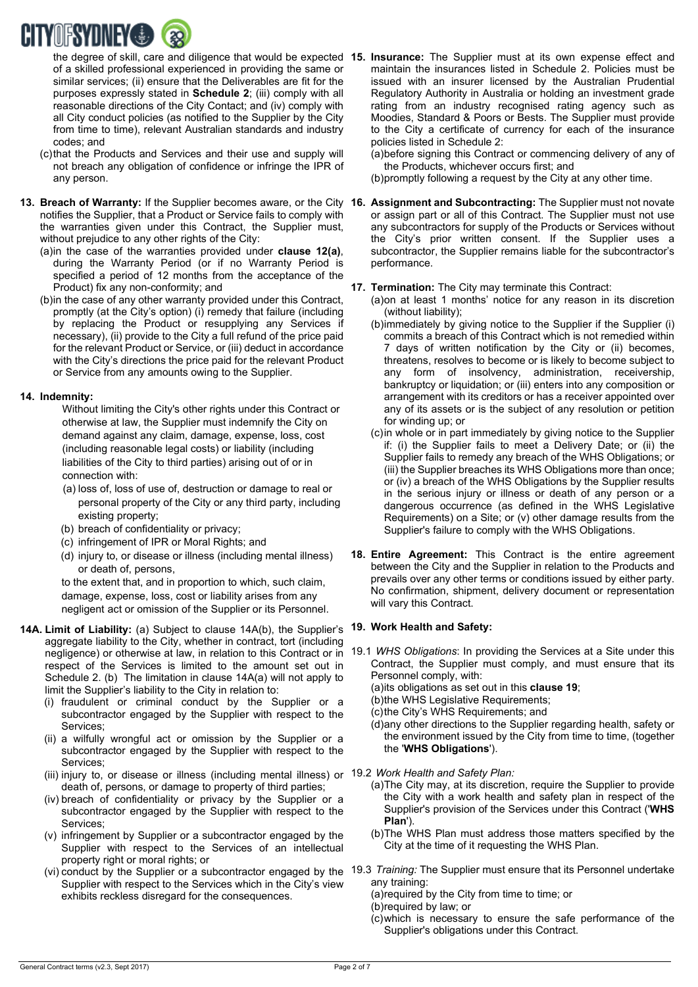

of a skilled professional experienced in providing the same or similar services; (ii) ensure that the Deliverables are fit for the purposes expressly stated in **Schedule 2**; (iii) comply with all reasonable directions of the City Contact; and (iv) comply with all City conduct policies (as notified to the Supplier by the City from time to time), relevant Australian standards and industry codes; and

- (c)that the Products and Services and their use and supply will not breach any obligation of confidence or infringe the IPR of any person.
- **13. Breach of Warranty:** If the Supplier becomes aware, or the City **16. Assignment and Subcontracting:** The Supplier must not novate notifies the Supplier, that a Product or Service fails to comply with the warranties given under this Contract, the Supplier must, without prejudice to any other rights of the City:
	- (a)in the case of the warranties provided under **clause [12\(a\)](#page-0-3)**, during the Warranty Period (or if no Warranty Period is specified a period of 12 months from the acceptance of the Product) fix any non-conformity; and
	- (b)in the case of any other warranty provided under this Contract, promptly (at the City's option) (i) remedy that failure (including by replacing the Product or resupplying any Services if necessary), (ii) provide to the City a full refund of the price paid for the relevant Product or Service, or (iii) deduct in accordance with the City's directions the price paid for the relevant Product or Service from any amounts owing to the Supplier.

### **14. Indemnity:**

- Without limiting the City's other rights under this Contract or otherwise at law, the Supplier must indemnify the City on demand against any claim, damage, expense, loss, cost (including reasonable legal costs) or liability (including liabilities of the City to third parties) arising out of or in connection with:
- (a) loss of, loss of use of, destruction or damage to real or personal property of the City or any third party, including existing property;
- (b) breach of confidentiality or privacy;
- (c) infringement of IPR or Moral Rights; and
- (d) injury to, or disease or illness (including mental illness) or death of, persons,

to the extent that, and in proportion to which, such claim, damage, expense, loss, cost or liability arises from any negligent act or omission of the Supplier or its Personnel.

- **14A. Limit of Liability:** (a) Subject to clause 14A(b), the Supplier's **19. Work Health and Safety:** aggregate liability to the City, whether in contract, tort (including negligence) or otherwise at law, in relation to this Contract or in respect of the Services is limited to the amount set out in Schedule 2. (b) The limitation in clause 14A(a) will not apply to limit the Supplier's liability to the City in relation to:
	- (i) fraudulent or criminal conduct by the Supplier or a subcontractor engaged by the Supplier with respect to the Services;
	- (ii) a wilfully wrongful act or omission by the Supplier or a subcontractor engaged by the Supplier with respect to the Services;
	- (iii) injury to, or disease or illness (including mental illness) or 19.2 *Work Health and Safety Plan:* death of, persons, or damage to property of third parties;
	- (iv) breach of confidentiality or privacy by the Supplier or a subcontractor engaged by the Supplier with respect to the Services;
	- (v) infringement by Supplier or a subcontractor engaged by the Supplier with respect to the Services of an intellectual property right or moral rights; or
	- Supplier with respect to the Services which in the City's view exhibits reckless disregard for the consequences.

the degree of skill, care and diligence that would be expected **15. Insurance:** The Supplier must at its own expense effect and maintain the insurances listed in Schedule 2. Policies must be issued with an insurer licensed by the Australian Prudential Regulatory Authority in Australia or holding an investment grade rating from an industry recognised rating agency such as Moodies, Standard & Poors or Bests. The Supplier must provide to the City a certificate of currency for each of the insurance policies listed in Schedule 2:

> (a)before signing this Contract or commencing delivery of any of the Products, whichever occurs first; and

(b)promptly following a request by the City at any other time.

or assign part or all of this Contract. The Supplier must not use any subcontractors for supply of the Products or Services without the City's prior written consent. If the Supplier uses a subcontractor, the Supplier remains liable for the subcontractor's performance.

### **17. Termination:** The City may terminate this Contract:

- (a)on at least 1 months' notice for any reason in its discretion (without liability);
- (b)immediately by giving notice to the Supplier if the Supplier (i) commits a breach of this Contract which is not remedied within 7 days of written notification by the City or (ii) becomes, threatens, resolves to become or is likely to become subject to any form of insolvency, administration, receivership, bankruptcy or liquidation; or (iii) enters into any composition or arrangement with its creditors or has a receiver appointed over any of its assets or is the subject of any resolution or petition for winding up; or
- (c)in whole or in part immediately by giving notice to the Supplier if: (i) the Supplier fails to meet a Delivery Date; or (ii) the Supplier fails to remedy any breach of the WHS Obligations; or (iii) the Supplier breaches its WHS Obligations more than once; or (iv) a breach of the WHS Obligations by the Supplier results in the serious injury or illness or death of any person or a dangerous occurrence (as defined in the WHS Legislative Requirements) on a Site; or (v) other damage results from the Supplier's failure to comply with the WHS Obligations.
- **18. Entire Agreement:** This Contract is the entire agreement between the City and the Supplier in relation to the Products and prevails over any other terms or conditions issued by either party. No confirmation, shipment, delivery document or representation will vary this Contract.

- <span id="page-1-0"></span>19.1 *WHS Obligations*: In providing the Services at a Site under this Contract, the Supplier must comply, and must ensure that its Personnel comply, with:
	- (a)its obligations as set out in this **clause [19](#page-1-0)**;
	- (b)the WHS Legislative Requirements;
	- (c)the City's WHS Requirements; and
	- (d)any other directions to the Supplier regarding health, safety or the environment issued by the City from time to time, (together the '**WHS Obligations**').
- - (a)The City may, at its discretion, require the Supplier to provide the City with a work health and safety plan in respect of the Supplier's provision of the Services under this Contract ('**WHS Plan**').
	- (b)The WHS Plan must address those matters specified by the City at the time of it requesting the WHS Plan.
- (vi) conduct by the Supplier or a subcontractor engaged by the 19.3 *Training:* The Supplier must ensure that its Personnel undertake any training:
	- (a)required by the City from time to time; or
	- (b)required by law; or
	- (c)which is necessary to ensure the safe performance of the Supplier's obligations under this Contract.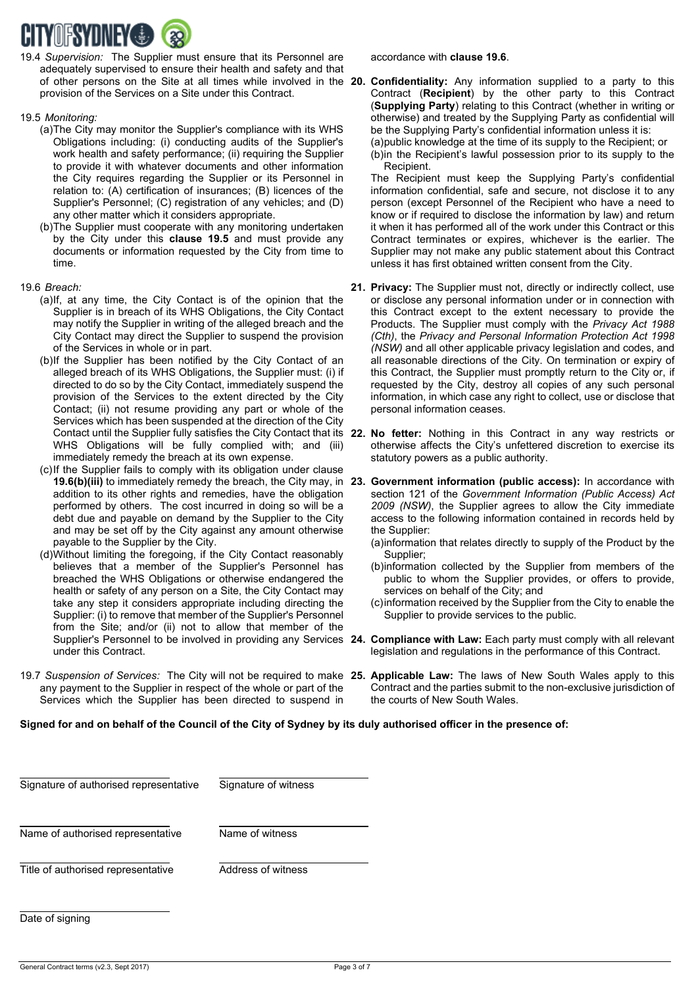

19.4 *Supervision:* The Supplier must ensure that its Personnel are adequately supervised to ensure their health and safety and that of other persons on the Site at all times while involved in the **20. Confidentiality:** Any information supplied to a party to this provision of the Services on a Site under this Contract.

#### <span id="page-2-1"></span>19.5 *Monitoring:*

- (a)The City may monitor the Supplier's compliance with its WHS Obligations including: (i) conducting audits of the Supplier's work health and safety performance; (ii) requiring the Supplier to provide it with whatever documents and other information the City requires regarding the Supplier or its Personnel in relation to: (A) certification of insurances; (B) licences of the Supplier's Personnel; (C) registration of any vehicles; and (D) any other matter which it considers appropriate.
- (b)The Supplier must cooperate with any monitoring undertaken by the City under this **clause [19.5](#page-2-1)** and must provide any documents or information requested by the City from time to time.

### <span id="page-2-3"></span>19.6 *Breach:*

- (a)If, at any time, the City Contact is of the opinion that the Supplier is in breach of its WHS Obligations, the City Contact may notify the Supplier in writing of the alleged breach and the City Contact may direct the Supplier to suspend the provision of the Services in whole or in part.
- <span id="page-2-2"></span>(b)If the Supplier has been notified by the City Contact of an alleged breach of its WHS Obligations, the Supplier must: (i) if directed to do so by the City Contact, immediately suspend the provision of the Services to the extent directed by the City Contact; (ii) not resume providing any part or whole of the Services which has been suspended at the direction of the City WHS Obligations will be fully complied with; and (iii) immediately remedy the breach at its own expense.
- (c)If the Supplier fails to comply with its obligation under clause addition to its other rights and remedies, have the obligation performed by others. The cost incurred in doing so will be a debt due and payable on demand by the Supplier to the City and may be set off by the City against any amount otherwise payable to the Supplier by the City.
- (d)Without limiting the foregoing, if the City Contact reasonably believes that a member of the Supplier's Personnel has breached the WHS Obligations or otherwise endangered the health or safety of any person on a Site, the City Contact may take any step it considers appropriate including directing the Supplier: (i) to remove that member of the Supplier's Personnel from the Site; and/or (ii) not to allow that member of the under this Contract.
- 19.7 *Suspension of Services:* The City will not be required to make **25. Applicable Law:** The laws of New South Wales apply to this any payment to the Supplier in respect of the whole or part of the Services which the Supplier has been directed to suspend in

<span id="page-2-0"></span>Contract (**Recipient**) by the other party to this Contract (**Supplying Party**) relating to this Contract (whether in writing or otherwise) and treated by the Supplying Party as confidential will be the Supplying Party's confidential information unless it is:

(a)public knowledge at the time of its supply to the Recipient; or (b)in the Recipient's lawful possession prior to its supply to the Recipient.

The Recipient must keep the Supplying Party's confidential information confidential, safe and secure, not disclose it to any person (except Personnel of the Recipient who have a need to know or if required to disclose the information by law) and return it when it has performed all of the work under this Contract or this Contract terminates or expires, whichever is the earlier. The Supplier may not make any public statement about this Contract unless it has first obtained written consent from the City.

- **21. Privacy:** The Supplier must not, directly or indirectly collect, use or disclose any personal information under or in connection with this Contract except to the extent necessary to provide the Products. The Supplier must comply with the *Privacy Act 1988 (Cth)*, the *Privacy and Personal Information Protection Act 1998 (NSW)* and all other applicable privacy legislation and codes, and all reasonable directions of the City. On termination or expiry of this Contract, the Supplier must promptly return to the City or, if requested by the City, destroy all copies of any such personal information, in which case any right to collect, use or disclose that personal information ceases.
- Contact until the Supplier fully satisfies the City Contact that its **22. No fetter:** Nothing in this Contract in any way restricts or otherwise affects the City's unfettered discretion to exercise its statutory powers as a public authority.
- **[19.6\(b\)\(](#page-2-2)iii)** to immediately remedy the breach, the City may, in **23. Government information (public access):** In accordance with section 121 of the *Government Information (Public Access) Act 2009 (NSW)*, the Supplier agrees to allow the City immediate access to the following information contained in records held by the Supplier:
	- (a)information that relates directly to supply of the Product by the Supplier;
	- (b)information collected by the Supplier from members of the public to whom the Supplier provides, or offers to provide, services on behalf of the City; and
	- (c)information received by the Supplier from the City to enable the Supplier to provide services to the public.
- Supplier's Personnel to be involved in providing any Services **24. Compliance with Law:** Each party must comply with all relevant legislation and regulations in the performance of this Contract.
	- Contract and the parties submit to the non-exclusive jurisdiction of the courts of New South Wales.

**Signed for and on behalf of the Council of the City of Sydney by its duly authorised officer in the presence of:**

| Signature of authorised representative | Signature of witness |
|----------------------------------------|----------------------|
| Name of authorised representative      | Name of witness      |
| Title of authorised representative     | Address of witness   |
|                                        |                      |

Date of signing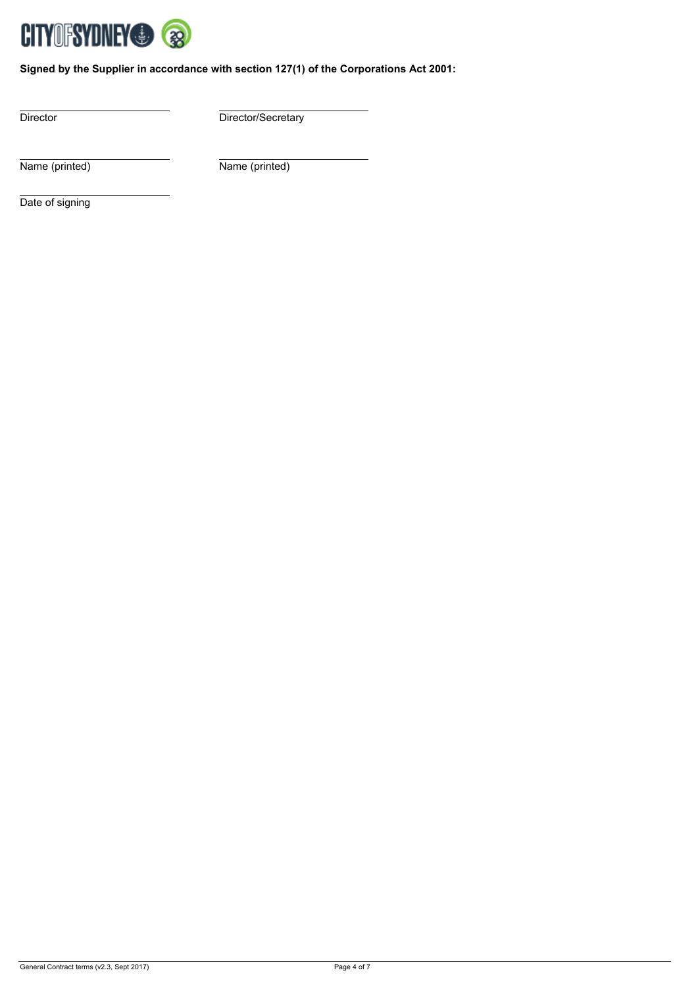

**Signed by the Supplier in accordance with section 127(1) of the Corporations Act 2001:**

Director Director/Secretary

Name (printed) Name (printed)

Date of signing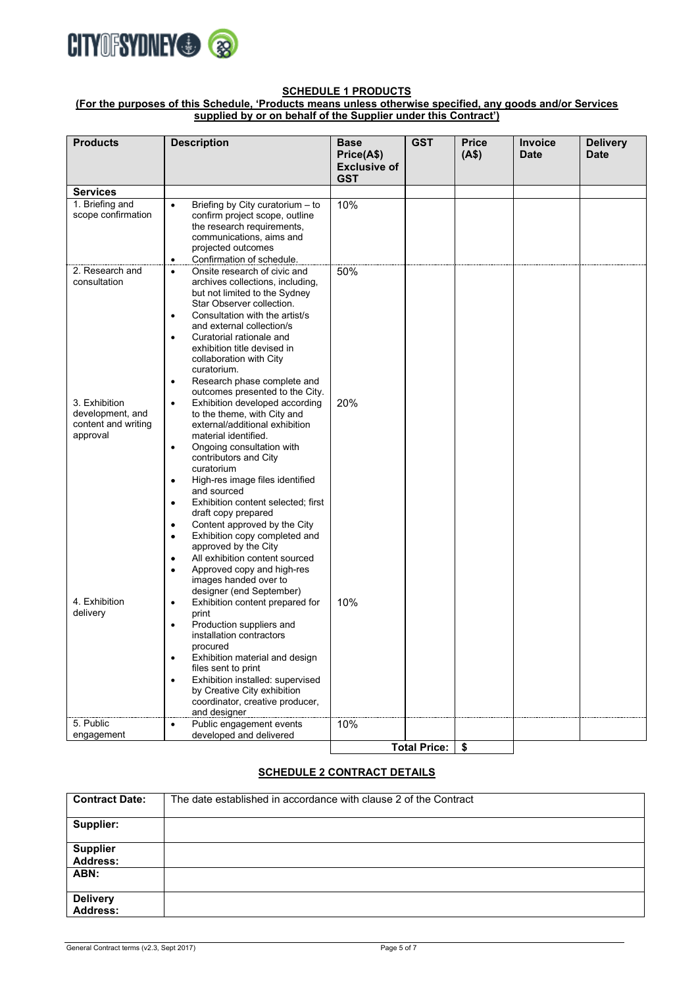

#### **SCHEDULE 1 PRODUCTS**

**(For the purposes of this Schedule, 'Products means unless otherwise specified, any goods and/or Services supplied by or on behalf of the Supplier under this Contract')**

| <b>Products</b>     | <b>Description</b>                                                           | <b>Base</b>         | <b>GST</b>          | <b>Price</b> | <b>Invoice</b> | <b>Delivery</b> |
|---------------------|------------------------------------------------------------------------------|---------------------|---------------------|--------------|----------------|-----------------|
|                     |                                                                              | Price(A\$)          |                     | (A\$)        | <b>Date</b>    | <b>Date</b>     |
|                     |                                                                              | <b>Exclusive of</b> |                     |              |                |                 |
| <b>Services</b>     |                                                                              | <b>GST</b>          |                     |              |                |                 |
| 1. Briefing and     | $\bullet$<br>Briefing by City curatorium - to                                | 10%                 |                     |              |                |                 |
| scope confirmation  | confirm project scope, outline                                               |                     |                     |              |                |                 |
|                     | the research requirements,                                                   |                     |                     |              |                |                 |
|                     | communications, aims and                                                     |                     |                     |              |                |                 |
|                     | projected outcomes<br>Confirmation of schedule.<br>$\bullet$                 |                     |                     |              |                |                 |
| 2. Research and     | Onsite research of civic and<br>$\bullet$                                    | 50%                 |                     |              |                |                 |
| consultation        | archives collections, including,                                             |                     |                     |              |                |                 |
|                     | but not limited to the Sydney                                                |                     |                     |              |                |                 |
|                     | Star Observer collection.<br>Consultation with the artist/s<br>$\bullet$     |                     |                     |              |                |                 |
|                     | and external collection/s                                                    |                     |                     |              |                |                 |
|                     | Curatorial rationale and<br>$\bullet$                                        |                     |                     |              |                |                 |
|                     | exhibition title devised in<br>collaboration with City                       |                     |                     |              |                |                 |
|                     | curatorium.                                                                  |                     |                     |              |                |                 |
|                     | Research phase complete and<br>$\bullet$                                     |                     |                     |              |                |                 |
| 3. Exhibition       | outcomes presented to the City.                                              |                     |                     |              |                |                 |
| development, and    | Exhibition developed according<br>$\bullet$<br>to the theme, with City and   | 20%                 |                     |              |                |                 |
| content and writing | external/additional exhibition                                               |                     |                     |              |                |                 |
| approval            | material identified.                                                         |                     |                     |              |                |                 |
|                     | Ongoing consultation with<br>$\bullet$<br>contributors and City              |                     |                     |              |                |                 |
|                     | curatorium                                                                   |                     |                     |              |                |                 |
|                     | High-res image files identified<br>$\bullet$                                 |                     |                     |              |                |                 |
|                     | and sourced                                                                  |                     |                     |              |                |                 |
|                     | Exhibition content selected; first<br>٠<br>draft copy prepared               |                     |                     |              |                |                 |
|                     | Content approved by the City<br>٠                                            |                     |                     |              |                |                 |
|                     | Exhibition copy completed and<br>٠<br>approved by the City                   |                     |                     |              |                |                 |
|                     | All exhibition content sourced<br>٠                                          |                     |                     |              |                |                 |
|                     | Approved copy and high-res<br>$\bullet$                                      |                     |                     |              |                |                 |
|                     | images handed over to<br>designer (end September)                            |                     |                     |              |                |                 |
| 4. Exhibition       | Exhibition content prepared for<br>$\bullet$                                 | 10%                 |                     |              |                |                 |
| delivery            | print                                                                        |                     |                     |              |                |                 |
|                     | Production suppliers and<br>$\bullet$                                        |                     |                     |              |                |                 |
|                     | installation contractors<br>procured                                         |                     |                     |              |                |                 |
|                     | Exhibition material and design                                               |                     |                     |              |                |                 |
|                     | files sent to print                                                          |                     |                     |              |                |                 |
|                     | Exhibition installed: supervised<br>$\bullet$<br>by Creative City exhibition |                     |                     |              |                |                 |
|                     | coordinator, creative producer,                                              |                     |                     |              |                |                 |
|                     | and designer                                                                 |                     |                     |              |                |                 |
| 5. Public           | Public engagement events<br>$\bullet$<br>developed and delivered             | 10%                 |                     |              |                |                 |
| engagement          |                                                                              |                     | <b>Total Price:</b> | \$           |                |                 |
|                     |                                                                              |                     |                     |              |                |                 |

# **SCHEDULE 2 CONTRACT DETAILS**

| <b>Contract Date:</b>              | The date established in accordance with clause 2 of the Contract |
|------------------------------------|------------------------------------------------------------------|
| Supplier:                          |                                                                  |
| <b>Supplier</b><br><b>Address:</b> |                                                                  |
| ABN:                               |                                                                  |
| <b>Delivery</b><br><b>Address:</b> |                                                                  |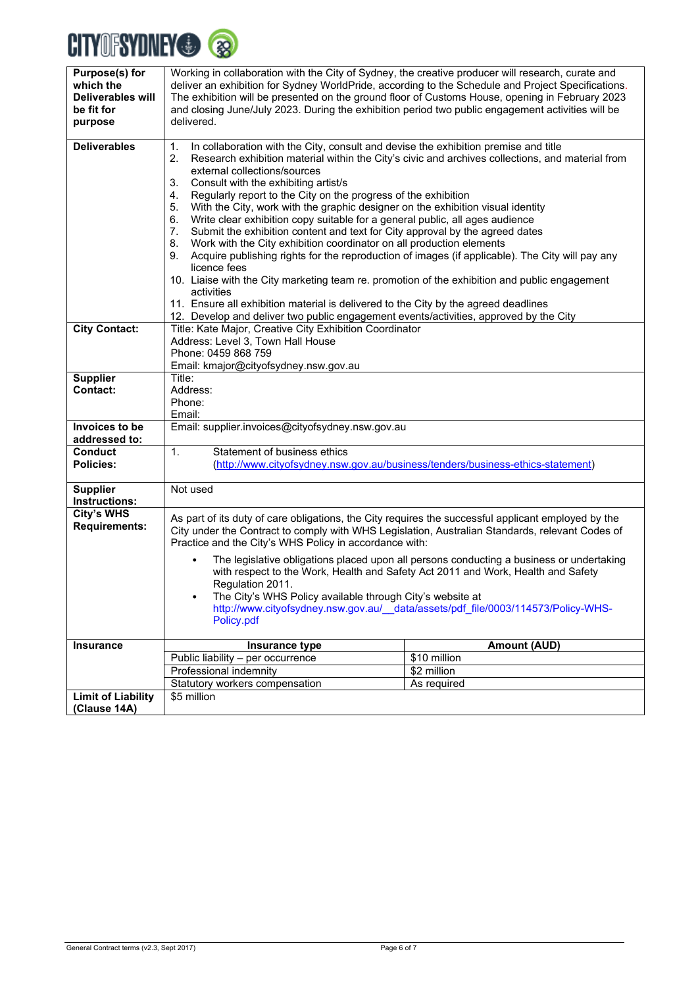# **CITYOFSYDNEY®®**

| Purpose(s) for            |                                                                                                                                                                                                         |                                                                                                  |  |  |
|---------------------------|---------------------------------------------------------------------------------------------------------------------------------------------------------------------------------------------------------|--------------------------------------------------------------------------------------------------|--|--|
| which the                 | Working in collaboration with the City of Sydney, the creative producer will research, curate and<br>deliver an exhibition for Sydney WorldPride, according to the Schedule and Project Specifications. |                                                                                                  |  |  |
| <b>Deliverables will</b>  |                                                                                                                                                                                                         |                                                                                                  |  |  |
|                           | The exhibition will be presented on the ground floor of Customs House, opening in February 2023                                                                                                         |                                                                                                  |  |  |
| be fit for                | and closing June/July 2023. During the exhibition period two public engagement activities will be                                                                                                       |                                                                                                  |  |  |
| purpose                   | delivered.                                                                                                                                                                                              |                                                                                                  |  |  |
| <b>Deliverables</b>       | In collaboration with the City, consult and devise the exhibition premise and title<br>1.                                                                                                               |                                                                                                  |  |  |
|                           | 2.                                                                                                                                                                                                      | Research exhibition material within the City's civic and archives collections, and material from |  |  |
|                           | external collections/sources                                                                                                                                                                            |                                                                                                  |  |  |
|                           |                                                                                                                                                                                                         |                                                                                                  |  |  |
|                           | Consult with the exhibiting artist/s<br>3.                                                                                                                                                              |                                                                                                  |  |  |
|                           | Regularly report to the City on the progress of the exhibition<br>4.                                                                                                                                    |                                                                                                  |  |  |
|                           | With the City, work with the graphic designer on the exhibition visual identity<br>5.                                                                                                                   |                                                                                                  |  |  |
|                           | Write clear exhibition copy suitable for a general public, all ages audience<br>6.                                                                                                                      |                                                                                                  |  |  |
|                           | Submit the exhibition content and text for City approval by the agreed dates<br>7.                                                                                                                      |                                                                                                  |  |  |
|                           | 8.<br>Work with the City exhibition coordinator on all production elements                                                                                                                              |                                                                                                  |  |  |
|                           | Acquire publishing rights for the reproduction of images (if applicable). The City will pay any<br>9.                                                                                                   |                                                                                                  |  |  |
|                           | licence fees                                                                                                                                                                                            |                                                                                                  |  |  |
|                           | 10. Liaise with the City marketing team re. promotion of the exhibition and public engagement                                                                                                           |                                                                                                  |  |  |
|                           | activities                                                                                                                                                                                              |                                                                                                  |  |  |
|                           | 11. Ensure all exhibition material is delivered to the City by the agreed deadlines                                                                                                                     |                                                                                                  |  |  |
|                           | 12. Develop and deliver two public engagement events/activities, approved by the City                                                                                                                   |                                                                                                  |  |  |
| <b>City Contact:</b>      | Title: Kate Major, Creative City Exhibition Coordinator                                                                                                                                                 |                                                                                                  |  |  |
|                           | Address: Level 3, Town Hall House                                                                                                                                                                       |                                                                                                  |  |  |
|                           | Phone: 0459 868 759                                                                                                                                                                                     |                                                                                                  |  |  |
|                           | Email: kmajor@cityofsydney.nsw.gov.au                                                                                                                                                                   |                                                                                                  |  |  |
| <b>Supplier</b>           | Title:                                                                                                                                                                                                  |                                                                                                  |  |  |
| Contact:                  | Address:                                                                                                                                                                                                |                                                                                                  |  |  |
|                           | Phone:                                                                                                                                                                                                  |                                                                                                  |  |  |
|                           | Email:                                                                                                                                                                                                  |                                                                                                  |  |  |
| Invoices to be            | Email: supplier.invoices@cityofsydney.nsw.gov.au                                                                                                                                                        |                                                                                                  |  |  |
| addressed to:             |                                                                                                                                                                                                         |                                                                                                  |  |  |
| <b>Conduct</b>            | Statement of business ethics<br>1.                                                                                                                                                                      |                                                                                                  |  |  |
| <b>Policies:</b>          |                                                                                                                                                                                                         | (http://www.cityofsydney.nsw.gov.au/business/tenders/business-ethics-statement)                  |  |  |
| <b>Supplier</b>           | Not used                                                                                                                                                                                                |                                                                                                  |  |  |
| Instructions:             |                                                                                                                                                                                                         |                                                                                                  |  |  |
| City's WHS                |                                                                                                                                                                                                         |                                                                                                  |  |  |
| <b>Requirements:</b>      | As part of its duty of care obligations, the City requires the successful applicant employed by the                                                                                                     |                                                                                                  |  |  |
|                           | City under the Contract to comply with WHS Legislation, Australian Standards, relevant Codes of                                                                                                         |                                                                                                  |  |  |
|                           | Practice and the City's WHS Policy in accordance with:                                                                                                                                                  |                                                                                                  |  |  |
|                           |                                                                                                                                                                                                         | The legislative obligations placed upon all persons conducting a business or undertaking         |  |  |
|                           |                                                                                                                                                                                                         | with respect to the Work, Health and Safety Act 2011 and Work, Health and Safety                 |  |  |
|                           | Regulation 2011.                                                                                                                                                                                        |                                                                                                  |  |  |
|                           | The City's WHS Policy available through City's website at                                                                                                                                               |                                                                                                  |  |  |
|                           |                                                                                                                                                                                                         | http://www.cityofsydney.nsw.gov.au/_data/assets/pdf_file/0003/114573/Policy-WHS-                 |  |  |
|                           | Policy.pdf                                                                                                                                                                                              |                                                                                                  |  |  |
|                           |                                                                                                                                                                                                         |                                                                                                  |  |  |
| <b>Insurance</b>          | Insurance type                                                                                                                                                                                          | <b>Amount (AUD)</b>                                                                              |  |  |
|                           | Public liability - per occurrence                                                                                                                                                                       | \$10 million                                                                                     |  |  |
|                           | Professional indemnity                                                                                                                                                                                  | \$2 million                                                                                      |  |  |
|                           | Statutory workers compensation                                                                                                                                                                          | As required                                                                                      |  |  |
| <b>Limit of Liability</b> | \$5 million                                                                                                                                                                                             |                                                                                                  |  |  |
| (Clause 14A)              |                                                                                                                                                                                                         |                                                                                                  |  |  |